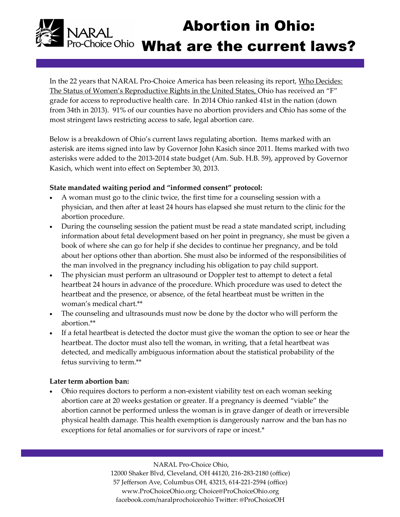# Abortion in Ohio: Pro-Choice Ohio What are the current laws?

In the 22 years that NARAL Pro-Choice America has been releasing its report, Who Decides: The Status of Women's Reproductive Rights in the United States, Ohio has received an "F" grade for access to reproductive health care. In 2014 Ohio ranked 41st in the nation (down from 34th in 2013). 91% of our counties have no abortion providers and Ohio has some of the most stringent laws restricting access to safe, legal abortion care.

Below is a breakdown of Ohio's current laws regulating abortion. Items marked with an asterisk are items signed into law by Governor John Kasich since 2011. Items marked with two asterisks were added to the 2013-2014 state budget (Am. Sub. H.B. 59), approved by Governor Kasich, which went into effect on September 30, 2013.

### **State mandated waiting period and "informed consent" protocol:**

- A woman must go to the clinic twice, the first time for a counseling session with a physician, and then after at least 24 hours has elapsed she must return to the clinic for the abortion procedure.
- During the counseling session the patient must be read a state mandated script, including information about fetal development based on her point in pregnancy, she must be given a book of where she can go for help if she decides to continue her pregnancy, and be told about her options other than abortion. She must also be informed of the responsibilities of the man involved in the pregnancy including his obligation to pay child support.
- The physician must perform an ultrasound or Doppler test to attempt to detect a fetal heartbeat 24 hours in advance of the procedure. Which procedure was used to detect the heartbeat and the presence, or absence, of the fetal heartbeat must be written in the woman's medical chart.\*\*
- The counseling and ultrasounds must now be done by the doctor who will perform the abortion.\*\*
- If a fetal heartbeat is detected the doctor must give the woman the option to see or hear the heartbeat. The doctor must also tell the woman, in writing, that a fetal heartbeat was detected, and medically ambiguous information about the statistical probability of the fetus surviving to term.\*\*

## **Later term abortion ban:**

 Ohio requires doctors to perform a non-existent viability test on each woman seeking abortion care at 20 weeks gestation or greater. If a pregnancy is deemed "viable" the abortion cannot be performed unless the woman is in grave danger of death or irreversible physical health damage. This health exemption is dangerously narrow and the ban has no exceptions for fetal anomalies or for survivors of rape or incest.\*

> NARAL Pro-Choice Ohio, 12000 Shaker Blvd, Cleveland, OH 44120, 216-283-2180 (office) 57 Jefferson Ave, Columbus OH, 43215, 614-221-2594 (office) www.ProChoiceOhio.org; Choice@ProChoiceOhio.org facebook.com/naralprochoiceohio Twitter: @ProChoiceOH